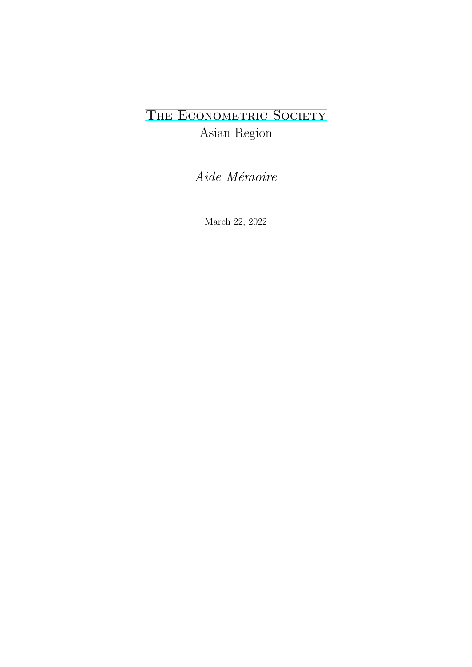# THE ECONOMETRIC SOCIETY Asian Region

Aide Mémoire

March 22, 2022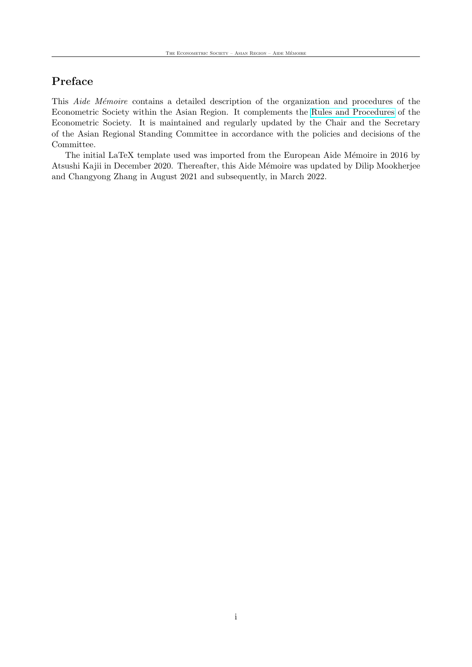## Preface

This Aide Mémoire contains a detailed description of the organization and procedures of the Econometric Society within the Asian Region. It complements the [Rules and Procedures](https://www.econometricsociety.org/society/organization-and-governance/rules-and-procedures) of the Econometric Society. It is maintained and regularly updated by the Chair and the Secretary of the Asian Regional Standing Committee in accordance with the policies and decisions of the Committee.

The initial LaTeX template used was imported from the European Aide Mémoire in 2016 by Atsushi Kajii in December 2020. Thereafter, this Aide Mémoire was updated by Dilip Mookherjee and Changyong Zhang in August 2021 and subsequently, in March 2022.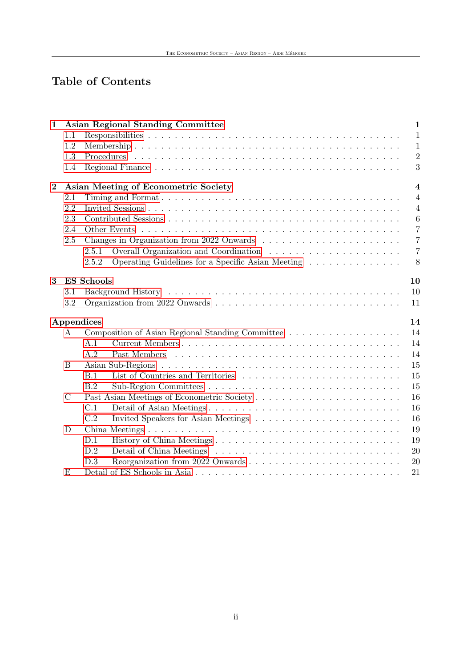# Table of Contents

| $\mathbf 1$      |               | <b>Asian Regional Standing Committee</b>                   | $\mathbf{1}$            |
|------------------|---------------|------------------------------------------------------------|-------------------------|
|                  | 1.1           |                                                            | $\mathbf{1}$            |
|                  | 1.2           |                                                            | $\mathbf{1}$            |
|                  | 1.3           |                                                            | $\overline{2}$          |
|                  | 1.4           |                                                            | 3                       |
| $\boldsymbol{2}$ |               | Asian Meeting of Econometric Society                       | $\overline{\mathbf{4}}$ |
|                  | 2.1           |                                                            | $\overline{4}$          |
|                  | 2.2           |                                                            | $\overline{4}$          |
|                  | 2.3           |                                                            | $6\phantom{.}6$         |
|                  | 2.4           | Other Events                                               | $\overline{7}$          |
|                  | 2.5           |                                                            | $\overline{7}$          |
|                  |               | 2.5.1                                                      | $\overline{7}$          |
|                  |               | Operating Guidelines for a Specific Asian Meeting<br>2.5.2 | 8                       |
| 3                |               | <b>ES</b> Schools                                          | 10                      |
|                  | 3.1           |                                                            | 10                      |
|                  | 3.2           |                                                            | 11                      |
|                  |               | Appendices                                                 | 14                      |
|                  | A             | Composition of Asian Regional Standing Committee           | 14                      |
|                  |               | A.1                                                        | 14                      |
|                  |               | A.2                                                        | 14                      |
|                  | B             |                                                            | 15                      |
|                  |               | B.1<br>List of Countries and Territories                   | 15                      |
|                  |               | B.2                                                        | 15                      |
|                  | $\mathcal{C}$ |                                                            | 16                      |
|                  |               | C.1                                                        | 16                      |
|                  |               | C.2                                                        | 16                      |
|                  | D             |                                                            | 19                      |
|                  |               | D.1                                                        | 19                      |
|                  |               | D.2                                                        | 20                      |
|                  |               | D.3                                                        | 20                      |
|                  | Ε             |                                                            | 21                      |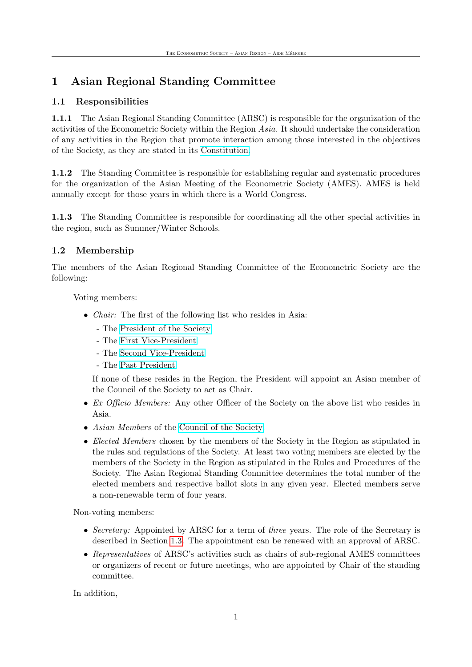## <span id="page-3-0"></span>1 Asian Regional Standing Committee

## <span id="page-3-1"></span>1.1 Responsibilities

1.1.1 The Asian Regional Standing Committee (ARSC) is responsible for the organization of the activities of the Econometric Society within the Region Asia. It should undertake the consideration of any activities in the Region that promote interaction among those interested in the objectives of the Society, as they are stated in its [Constitution.](http://www.econometricsociety.org/society.asp#constitution)

1.1.2 The Standing Committee is responsible for establishing regular and systematic procedures for the organization of the Asian Meeting of the Econometric Society (AMES). AMES is held annually except for those years in which there is a World Congress.

1.1.3 The Standing Committee is responsible for coordinating all the other special activities in the region, such as Summer/Winter Schools.

## <span id="page-3-2"></span>1.2 Membership

The members of the Asian Regional Standing Committee of the Econometric Society are the following:

Voting members:

- *Chair:* The first of the following list who resides in Asia:
	- The [President of the Society](https://www.econometricsociety.org/society/organization-and-governance/executive-committee)
	- The [First Vice-President](https://www.econometricsociety.org/society/organization-and-governance/executive-committee)
	- The [Second Vice-President](https://www.econometricsociety.org/society/organization-and-governance/executive-committee)
	- The [Past President](https://www.econometricsociety.org/society/organization-and-governance/executive-committee)

If none of these resides in the Region, the President will appoint an Asian member of the Council of the Society to act as Chair.

- Ex Officio Members: Any other Officer of the Society on the above list who resides in Asia.
- Asian Members of the [Council of the Society.](https://www.econometricsociety.org/society/organization-and-governance/council)
- Elected Members chosen by the members of the Society in the Region as stipulated in the rules and regulations of the Society. At least two voting members are elected by the members of the Society in the Region as stipulated in the Rules and Procedures of the Society. The Asian Regional Standing Committee determines the total number of the elected members and respective ballot slots in any given year. Elected members serve a non-renewable term of four years.

Non-voting members:

- Secretary: Appointed by ARSC for a term of three years. The role of the Secretary is described in Section [1.3.](#page-4-0) The appointment can be renewed with an approval of ARSC.
- Representatives of ARSC's activities such as chairs of sub-regional AMES committees or organizers of recent or future meetings, who are appointed by Chair of the standing committee.

In addition,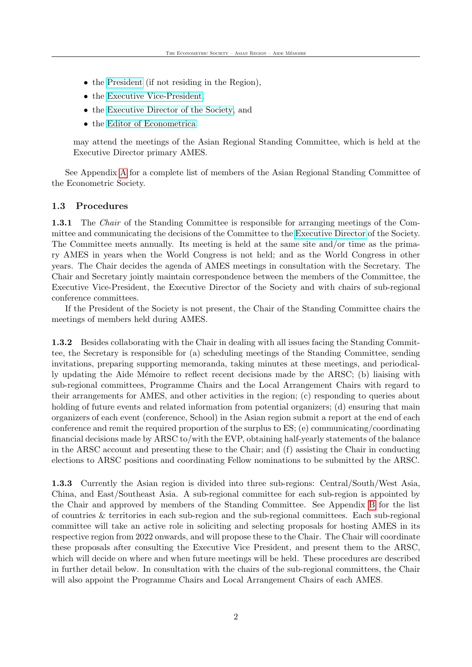- the [President](http://www.econometricsociety.org/officers.asp) (if not residing in the Region),
- the [Executive Vice-President,](http://www.econometricsociety.org/officers.asp)
- the [Executive Director of the Society,](http://www.econometricsociety.org/contacts.asp) and
- the [Editor of Econometrica](http://www.econometricsociety.org/editors.asp)

may attend the meetings of the Asian Regional Standing Committee, which is held at the Executive Director primary AMES.

See Appendix [A](#page-16-1) for a complete list of members of the Asian Regional Standing Committee of the Econometric Society.

#### <span id="page-4-0"></span>1.3 Procedures

1.3.1 The *Chair* of the Standing Committee is responsible for arranging meetings of the Committee and communicating the decisions of the Committee to the [Executive Director](http://www.econometricsociety.org/contacts.asp) of the Society. The Committee meets annually. Its meeting is held at the same site and/or time as the primary AMES in years when the World Congress is not held; and as the World Congress in other years. The Chair decides the agenda of AMES meetings in consultation with the Secretary. The Chair and Secretary jointly maintain correspondence between the members of the Committee, the Executive Vice-President, the Executive Director of the Society and with chairs of sub-regional conference committees.

If the President of the Society is not present, the Chair of the Standing Committee chairs the meetings of members held during AMES.

1.3.2 Besides collaborating with the Chair in dealing with all issues facing the Standing Committee, the Secretary is responsible for (a) scheduling meetings of the Standing Committee, sending invitations, preparing supporting memoranda, taking minutes at these meetings, and periodically updating the Aide Mémoire to reflect recent decisions made by the ARSC; (b) liaising with sub-regional committees, Programme Chairs and the Local Arrangement Chairs with regard to their arrangements for AMES, and other activities in the region; (c) responding to queries about holding of future events and related information from potential organizers; (d) ensuring that main organizers of each event (conference, School) in the Asian region submit a report at the end of each conference and remit the required proportion of the surplus to ES; (e) communicating/coordinating financial decisions made by ARSC to/with the EVP, obtaining half-yearly statements of the balance in the ARSC account and presenting these to the Chair; and (f) assisting the Chair in conducting elections to ARSC positions and coordinating Fellow nominations to be submitted by the ARSC.

1.3.3 Currently the Asian region is divided into three sub-regions: Central/South/West Asia, China, and East/Southeast Asia. A sub-regional committee for each sub-region is appointed by the Chair and approved by members of the Standing Committee. See Appendix [B](#page-17-0) for the list of countries & territories in each sub-region and the sub-regional committees. Each sub-regional committee will take an active role in soliciting and selecting proposals for hosting AMES in its respective region from 2022 onwards, and will propose these to the Chair. The Chair will coordinate these proposals after consulting the Executive Vice President, and present them to the ARSC, which will decide on where and when future meetings will be held. These procedures are described in further detail below. In consultation with the chairs of the sub-regional committees, the Chair will also appoint the Programme Chairs and Local Arrangement Chairs of each AMES.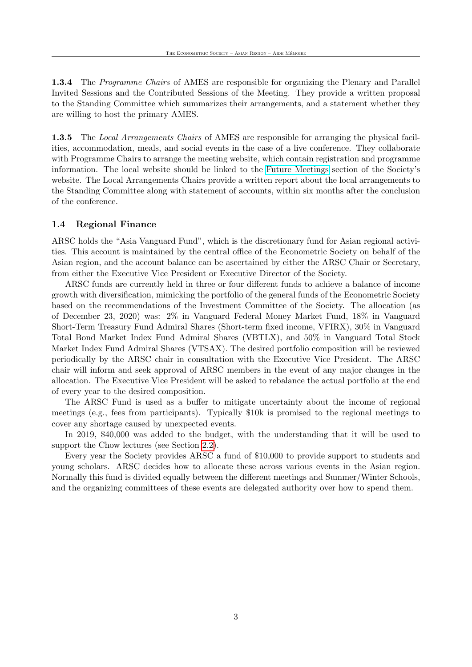1.3.4 The Programme Chairs of AMES are responsible for organizing the Plenary and Parallel Invited Sessions and the Contributed Sessions of the Meeting. They provide a written proposal to the Standing Committee which summarizes their arrangements, and a statement whether they are willing to host the primary AMES.

1.3.5 The Local Arrangements Chairs of AMES are responsible for arranging the physical facilities, accommodation, meals, and social events in the case of a live conference. They collaborate with Programme Chairs to arrange the meeting website, which contain registration and programme information. The local website should be linked to the [Future Meetings](https://www.econometricsociety.org/meetings/future-meetings) section of the Society's website. The Local Arrangements Chairs provide a written report about the local arrangements to the Standing Committee along with statement of accounts, within six months after the conclusion of the conference.

#### <span id="page-5-0"></span>1.4 Regional Finance

ARSC holds the "Asia Vanguard Fund", which is the discretionary fund for Asian regional activities. This account is maintained by the central office of the Econometric Society on behalf of the Asian region, and the account balance can be ascertained by either the ARSC Chair or Secretary, from either the Executive Vice President or Executive Director of the Society.

ARSC funds are currently held in three or four different funds to achieve a balance of income growth with diversification, mimicking the portfolio of the general funds of the Econometric Society based on the recommendations of the Investment Committee of the Society. The allocation (as of December 23, 2020) was: 2% in Vanguard Federal Money Market Fund, 18% in Vanguard Short-Term Treasury Fund Admiral Shares (Short-term fixed income, VFIRX), 30% in Vanguard Total Bond Market Index Fund Admiral Shares (VBTLX), and 50% in Vanguard Total Stock Market Index Fund Admiral Shares (VTSAX). The desired portfolio composition will be reviewed periodically by the ARSC chair in consultation with the Executive Vice President. The ARSC chair will inform and seek approval of ARSC members in the event of any major changes in the allocation. The Executive Vice President will be asked to rebalance the actual portfolio at the end of every year to the desired composition.

The ARSC Fund is used as a buffer to mitigate uncertainty about the income of regional meetings (e.g., fees from participants). Typically \$10k is promised to the regional meetings to cover any shortage caused by unexpected events.

In 2019, \$40,000 was added to the budget, with the understanding that it will be used to support the Chow lectures (see Section [2.2\)](#page-7-0).

Every year the Society provides ARSC a fund of \$10,000 to provide support to students and young scholars. ARSC decides how to allocate these across various events in the Asian region. Normally this fund is divided equally between the different meetings and Summer/Winter Schools, and the organizing committees of these events are delegated authority over how to spend them.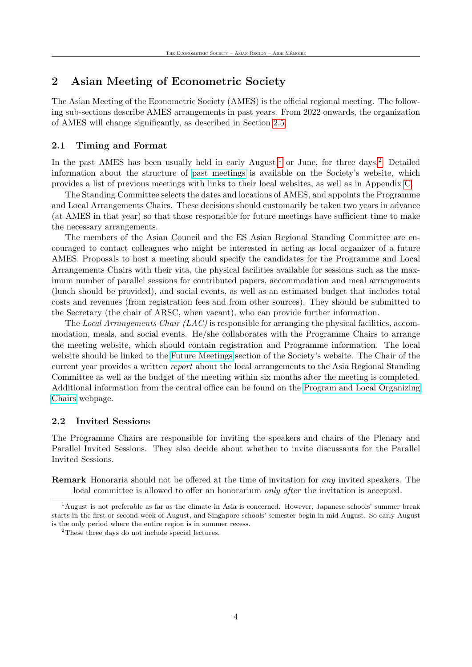## <span id="page-6-0"></span>2 Asian Meeting of Econometric Society

The Asian Meeting of the Econometric Society (AMES) is the official regional meeting. The following sub-sections describe AMES arrangements in past years. From 2022 onwards, the organization of AMES will change significantly, as described in Section [2.5.](#page-9-1)

#### <span id="page-6-1"></span>2.1 Timing and Format

In the past AMES has been usually held in early August,<sup>[1](#page-6-3)</sup> or June, for three days.<sup>[2](#page-6-4)</sup> Detailed information about the structure of [past meetings](https://www.econometricsociety.org/meetings/past-meetings) is available on the Society's website, which provides a list of previous meetings with links to their local websites, as well as in Appendix [C.](#page-18-0)

The Standing Committee selects the dates and locations of AMES, and appoints the Programme and Local Arrangements Chairs. These decisions should customarily be taken two years in advance (at AMES in that year) so that those responsible for future meetings have sufficient time to make the necessary arrangements.

The members of the Asian Council and the ES Asian Regional Standing Committee are encouraged to contact colleagues who might be interested in acting as local organizer of a future AMES. Proposals to host a meeting should specify the candidates for the Programme and Local Arrangements Chairs with their vita, the physical facilities available for sessions such as the maximum number of parallel sessions for contributed papers, accommodation and meal arrangements (lunch should be provided), and social events, as well as an estimated budget that includes total costs and revenues (from registration fees and from other sources). They should be submitted to the Secretary (the chair of ARSC, when vacant), who can provide further information.

The Local Arrangements Chair  $(LAC)$  is responsible for arranging the physical facilities, accommodation, meals, and social events. He/she collaborates with the Programme Chairs to arrange the meeting website, which should contain registration and Programme information. The local website should be linked to the [Future Meetings](https://www.econometricsociety.org/meetings/future-meetings) section of the Society's website. The Chair of the current year provides a written report about the local arrangements to the Asia Regional Standing Committee as well as the budget of the meeting within six months after the meeting is completed. Additional information from the central office can be found on the [Program and Local Organizing](https://www.econometricsociety.org/content/program-and-local-organizing-chairs) [Chairs](https://www.econometricsociety.org/content/program-and-local-organizing-chairs) webpage.

#### <span id="page-6-2"></span>2.2 Invited Sessions

The Programme Chairs are responsible for inviting the speakers and chairs of the Plenary and Parallel Invited Sessions. They also decide about whether to invite discussants for the Parallel Invited Sessions.

Remark Honoraria should not be offered at the time of invitation for any invited speakers. The local committee is allowed to offer an honorarium *only after* the invitation is accepted.

<span id="page-6-3"></span><sup>1</sup>August is not preferable as far as the climate in Asia is concerned. However, Japanese schools' summer break starts in the first or second week of August, and Singapore schools' semester begin in mid August. So early August is the only period where the entire region is in summer recess.

<span id="page-6-4"></span><sup>2</sup>These three days do not include special lectures.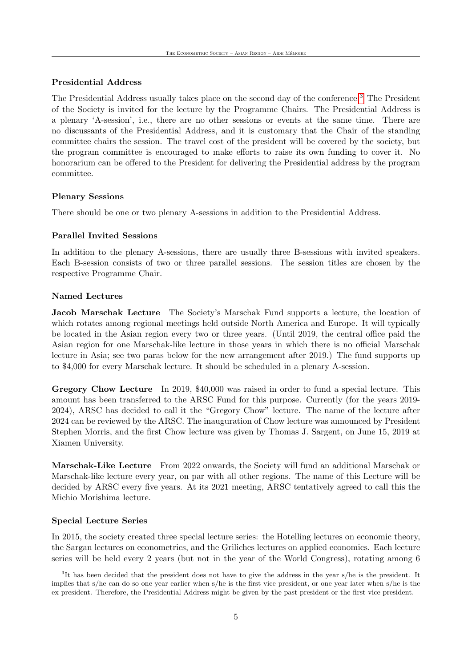#### Presidential Address

The Presidential Address usually takes place on the second day of the conference.[3](#page-7-1) The President of the Society is invited for the lecture by the Programme Chairs. The Presidential Address is a plenary 'A-session', i.e., there are no other sessions or events at the same time. There are no discussants of the Presidential Address, and it is customary that the Chair of the standing committee chairs the session. The travel cost of the president will be covered by the society, but the program committee is encouraged to make efforts to raise its own funding to cover it. No honorarium can be offered to the President for delivering the Presidential address by the program committee.

#### Plenary Sessions

There should be one or two plenary A-sessions in addition to the Presidential Address.

#### Parallel Invited Sessions

In addition to the plenary A-sessions, there are usually three B-sessions with invited speakers. Each B-session consists of two or three parallel sessions. The session titles are chosen by the respective Programme Chair.

#### <span id="page-7-0"></span>Named Lectures

**Jacob Marschak Lecture** The Society's Marschak Fund supports a lecture, the location of which rotates among regional meetings held outside North America and Europe. It will typically be located in the Asian region every two or three years. (Until 2019, the central office paid the Asian region for one Marschak-like lecture in those years in which there is no official Marschak lecture in Asia; see two paras below for the new arrangement after 2019.) The fund supports up to \$4,000 for every Marschak lecture. It should be scheduled in a plenary A-session.

Gregory Chow Lecture In 2019, \$40,000 was raised in order to fund a special lecture. This amount has been transferred to the ARSC Fund for this purpose. Currently (for the years 2019- 2024), ARSC has decided to call it the "Gregory Chow" lecture. The name of the lecture after 2024 can be reviewed by the ARSC. The inauguration of Chow lecture was announced by President Stephen Morris, and the first Chow lecture was given by Thomas J. Sargent, on June 15, 2019 at Xiamen University.

Marschak-Like Lecture From 2022 onwards, the Society will fund an additional Marschak or Marschak-like lecture every year, on par with all other regions. The name of this Lecture will be decided by ARSC every five years. At its 2021 meeting, ARSC tentatively agreed to call this the Michio Morishima lecture.

#### Special Lecture Series

In 2015, the society created three special lecture series: the Hotelling lectures on economic theory, the Sargan lectures on econometrics, and the Griliches lectures on applied economics. Each lecture series will be held every 2 years (but not in the year of the World Congress), rotating among 6

<span id="page-7-1"></span><sup>&</sup>lt;sup>3</sup>It has been decided that the president does not have to give the address in the year s/he is the president. It implies that s/he can do so one year earlier when s/he is the first vice president, or one year later when s/he is the ex president. Therefore, the Presidential Address might be given by the past president or the first vice president.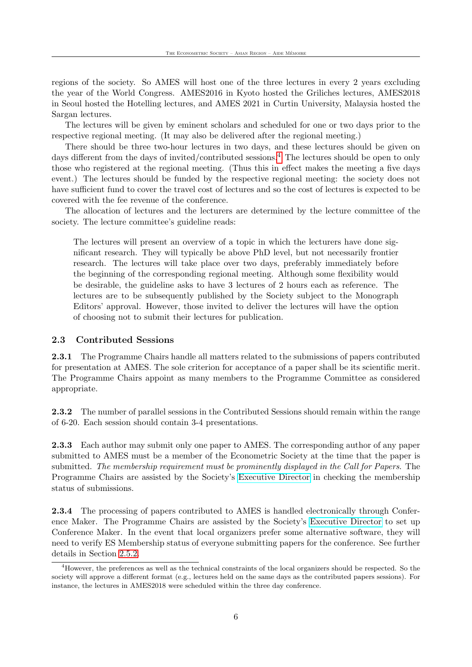regions of the society. So AMES will host one of the three lectures in every 2 years excluding the year of the World Congress. AMES2016 in Kyoto hosted the Griliches lectures, AMES2018 in Seoul hosted the Hotelling lectures, and AMES 2021 in Curtin University, Malaysia hosted the Sargan lectures.

The lectures will be given by eminent scholars and scheduled for one or two days prior to the respective regional meeting. (It may also be delivered after the regional meeting.)

There should be three two-hour lectures in two days, and these lectures should be given on days different from the days of invited/contributed sessions.<sup>[4](#page-8-1)</sup> The lectures should be open to only those who registered at the regional meeting. (Thus this in effect makes the meeting a five days event.) The lectures should be funded by the respective regional meeting: the society does not have sufficient fund to cover the travel cost of lectures and so the cost of lectures is expected to be covered with the fee revenue of the conference.

The allocation of lectures and the lecturers are determined by the lecture committee of the society. The lecture committee's guideline reads:

The lectures will present an overview of a topic in which the lecturers have done significant research. They will typically be above PhD level, but not necessarily frontier research. The lectures will take place over two days, preferably immediately before the beginning of the corresponding regional meeting. Although some flexibility would be desirable, the guideline asks to have 3 lectures of 2 hours each as reference. The lectures are to be subsequently published by the Society subject to the Monograph Editors' approval. However, those invited to deliver the lectures will have the option of choosing not to submit their lectures for publication.

#### <span id="page-8-0"></span>2.3 Contributed Sessions

2.3.1 The Programme Chairs handle all matters related to the submissions of papers contributed for presentation at AMES. The sole criterion for acceptance of a paper shall be its scientific merit. The Programme Chairs appoint as many members to the Programme Committee as considered appropriate.

2.3.2 The number of parallel sessions in the Contributed Sessions should remain within the range of 6-20. Each session should contain 3-4 presentations.

2.3.3 Each author may submit only one paper to AMES. The corresponding author of any paper submitted to AMES must be a member of the Econometric Society at the time that the paper is submitted. The membership requirement must be prominently displayed in the Call for Papers. The Programme Chairs are assisted by the Society's [Executive Director](https://www.econometricsociety.org/contact) in checking the membership status of submissions.

2.3.4 The processing of papers contributed to AMES is handled electronically through Conference Maker. The Programme Chairs are assisted by the Society's [Executive Director](https://www.econometricsociety.org/contact) to set up Conference Maker. In the event that local organizers prefer some alternative software, they will need to verify ES Membership status of everyone submitting papers for the conference. See further details in Section [2.5.2.](#page-10-0)

<span id="page-8-1"></span><sup>&</sup>lt;sup>4</sup>However, the preferences as well as the technical constraints of the local organizers should be respected. So the society will approve a different format (e.g., lectures held on the same days as the contributed papers sessions). For instance, the lectures in AMES2018 were scheduled within the three day conference.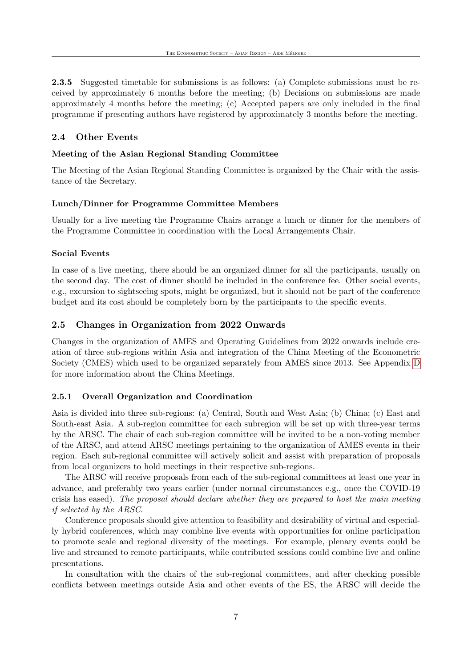2.3.5 Suggested timetable for submissions is as follows: (a) Complete submissions must be received by approximately 6 months before the meeting; (b) Decisions on submissions are made approximately 4 months before the meeting; (c) Accepted papers are only included in the final programme if presenting authors have registered by approximately 3 months before the meeting.

## <span id="page-9-0"></span>2.4 Other Events

#### Meeting of the Asian Regional Standing Committee

The Meeting of the Asian Regional Standing Committee is organized by the Chair with the assistance of the Secretary.

#### Lunch/Dinner for Programme Committee Members

Usually for a live meeting the Programme Chairs arrange a lunch or dinner for the members of the Programme Committee in coordination with the Local Arrangements Chair.

#### Social Events

In case of a live meeting, there should be an organized dinner for all the participants, usually on the second day. The cost of dinner should be included in the conference fee. Other social events, e.g., excursion to sightseeing spots, might be organized, but it should not be part of the conference budget and its cost should be completely born by the participants to the specific events.

### <span id="page-9-1"></span>2.5 Changes in Organization from 2022 Onwards

Changes in the organization of AMES and Operating Guidelines from 2022 onwards include creation of three sub-regions within Asia and integration of the China Meeting of the Econometric Society (CMES) which used to be organized separately from AMES since 2013. See Appendix [D](#page-21-0) for more information about the China Meetings.

### <span id="page-9-2"></span>2.5.1 Overall Organization and Coordination

Asia is divided into three sub-regions: (a) Central, South and West Asia; (b) China; (c) East and South-east Asia. A sub-region committee for each subregion will be set up with three-year terms by the ARSC. The chair of each sub-region committee will be invited to be a non-voting member of the ARSC, and attend ARSC meetings pertaining to the organization of AMES events in their region. Each sub-regional committee will actively solicit and assist with preparation of proposals from local organizers to hold meetings in their respective sub-regions.

The ARSC will receive proposals from each of the sub-regional committees at least one year in advance, and preferably two years earlier (under normal circumstances e.g., once the COVID-19 crisis has eased). The proposal should declare whether they are prepared to host the main meeting if selected by the ARSC.

Conference proposals should give attention to feasibility and desirability of virtual and especially hybrid conferences, which may combine live events with opportunities for online participation to promote scale and regional diversity of the meetings. For example, plenary events could be live and streamed to remote participants, while contributed sessions could combine live and online presentations.

In consultation with the chairs of the sub-regional committees, and after checking possible conflicts between meetings outside Asia and other events of the ES, the ARSC will decide the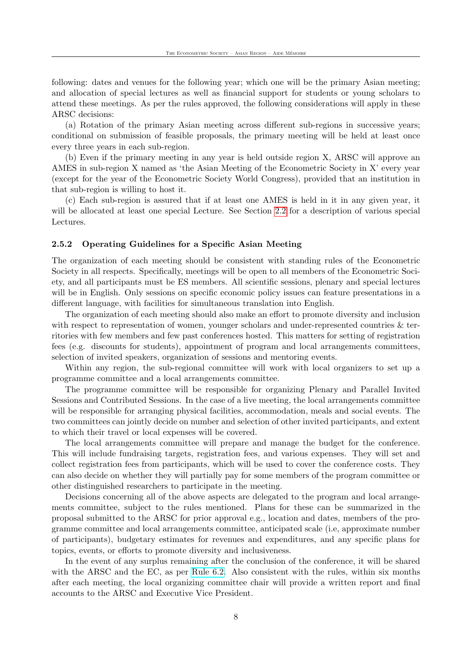following: dates and venues for the following year; which one will be the primary Asian meeting; and allocation of special lectures as well as financial support for students or young scholars to attend these meetings. As per the rules approved, the following considerations will apply in these ARSC decisions:

(a) Rotation of the primary Asian meeting across different sub-regions in successive years; conditional on submission of feasible proposals, the primary meeting will be held at least once every three years in each sub-region.

(b) Even if the primary meeting in any year is held outside region X, ARSC will approve an AMES in sub-region X named as 'the Asian Meeting of the Econometric Society in X' every year (except for the year of the Econometric Society World Congress), provided that an institution in that sub-region is willing to host it.

(c) Each sub-region is assured that if at least one AMES is held in it in any given year, it will be allocated at least one special Lecture. See Section [2.2](#page-6-2) for a description of various special Lectures.

#### <span id="page-10-0"></span>2.5.2 Operating Guidelines for a Specific Asian Meeting

The organization of each meeting should be consistent with standing rules of the Econometric Society in all respects. Specifically, meetings will be open to all members of the Econometric Society, and all participants must be ES members. All scientific sessions, plenary and special lectures will be in English. Only sessions on specific economic policy issues can feature presentations in a different language, with facilities for simultaneous translation into English.

The organization of each meeting should also make an effort to promote diversity and inclusion with respect to representation of women, younger scholars and under-represented countries  $&$  territories with few members and few past conferences hosted. This matters for setting of registration fees (e.g. discounts for students), appointment of program and local arrangements committees, selection of invited speakers, organization of sessions and mentoring events.

Within any region, the sub-regional committee will work with local organizers to set up a programme committee and a local arrangements committee.

The programme committee will be responsible for organizing Plenary and Parallel Invited Sessions and Contributed Sessions. In the case of a live meeting, the local arrangements committee will be responsible for arranging physical facilities, accommodation, meals and social events. The two committees can jointly decide on number and selection of other invited participants, and extent to which their travel or local expenses will be covered.

The local arrangements committee will prepare and manage the budget for the conference. This will include fundraising targets, registration fees, and various expenses. They will set and collect registration fees from participants, which will be used to cover the conference costs. They can also decide on whether they will partially pay for some members of the program committee or other distinguished researchers to participate in the meeting.

Decisions concerning all of the above aspects are delegated to the program and local arrangements committee, subject to the rules mentioned. Plans for these can be summarized in the proposal submitted to the ARSC for prior approval e.g., location and dates, members of the programme committee and local arrangements committee, anticipated scale (i.e, approximate number of participants), budgetary estimates for revenues and expenditures, and any specific plans for topics, events, or efforts to promote diversity and inclusiveness.

In the event of any surplus remaining after the conclusion of the conference, it will be shared with the ARSC and the EC, as per [Rule 6.2.](https://www.econometricsociety.org/society/organization-and-governance/rules-and-procedures#45) Also consistent with the rules, within six months after each meeting, the local organizing committee chair will provide a written report and final accounts to the ARSC and Executive Vice President.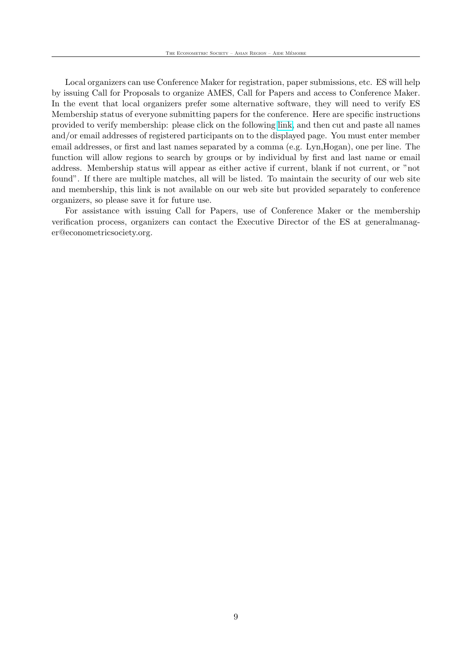Local organizers can use Conference Maker for registration, paper submissions, etc. ES will help by issuing Call for Proposals to organize AMES, Call for Papers and access to Conference Maker. In the event that local organizers prefer some alternative software, they will need to verify ES Membership status of everyone submitting papers for the conference. Here are specific instructions provided to verify membership: please click on the following [link,](https://www.econometricsociety.org/member-verification) and then cut and paste all names and/or email addresses of registered participants on to the displayed page. You must enter member email addresses, or first and last names separated by a comma (e.g. Lyn,Hogan), one per line. The function will allow regions to search by groups or by individual by first and last name or email address. Membership status will appear as either active if current, blank if not current, or "not found". If there are multiple matches, all will be listed. To maintain the security of our web site and membership, this link is not available on our web site but provided separately to conference organizers, so please save it for future use.

For assistance with issuing Call for Papers, use of Conference Maker or the membership verification process, organizers can contact the Executive Director of the ES at generalmanager@econometricsociety.org.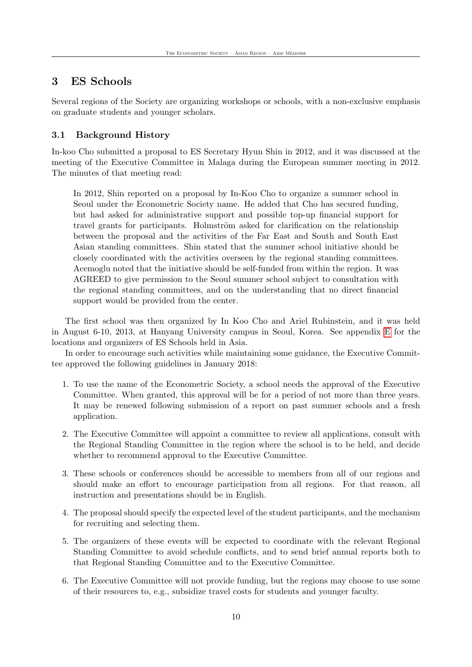## <span id="page-12-0"></span>3 ES Schools

Several regions of the Society are organizing workshops or schools, with a non-exclusive emphasis on graduate students and younger scholars.

#### <span id="page-12-1"></span>3.1 Background History

In-koo Cho submitted a proposal to ES Secretary Hyun Shin in 2012, and it was discussed at the meeting of the Executive Committee in Malaga during the European summer meeting in 2012. The minutes of that meeting read:

In 2012, Shin reported on a proposal by In-Koo Cho to organize a summer school in Seoul under the Econometric Society name. He added that Cho has secured funding, but had asked for administrative support and possible top-up financial support for travel grants for participants. Holmström asked for clarification on the relationship between the proposal and the activities of the Far East and South and South East Asian standing committees. Shin stated that the summer school initiative should be closely coordinated with the activities overseen by the regional standing committees. Acemoglu noted that the initiative should be self-funded from within the region. It was AGREED to give permission to the Seoul summer school subject to consultation with the regional standing committees, and on the understanding that no direct financial support would be provided from the center.

The first school was then organized by In Koo Cho and Ariel Rubinstein, and it was held in August 6-10, 2013, at Hanyang University campus in Seoul, Korea. See appendix [E](#page-23-0) for the locations and organizers of ES Schools held in Asia.

In order to encourage such activities while maintaining some guidance, the Executive Committee approved the following guidelines in January 2018:

- 1. To use the name of the Econometric Society, a school needs the approval of the Executive Committee. When granted, this approval will be for a period of not more than three years. It may be renewed following submission of a report on past summer schools and a fresh application.
- 2. The Executive Committee will appoint a committee to review all applications, consult with the Regional Standing Committee in the region where the school is to be held, and decide whether to recommend approval to the Executive Committee.
- 3. These schools or conferences should be accessible to members from all of our regions and should make an effort to encourage participation from all regions. For that reason, all instruction and presentations should be in English.
- 4. The proposal should specify the expected level of the student participants, and the mechanism for recruiting and selecting them.
- 5. The organizers of these events will be expected to coordinate with the relevant Regional Standing Committee to avoid schedule conflicts, and to send brief annual reports both to that Regional Standing Committee and to the Executive Committee.
- 6. The Executive Committee will not provide funding, but the regions may choose to use some of their resources to, e.g., subsidize travel costs for students and younger faculty.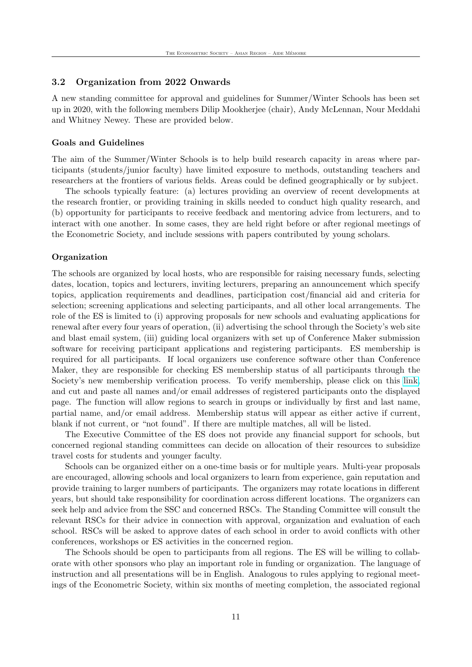#### <span id="page-13-0"></span>3.2 Organization from 2022 Onwards

A new standing committee for approval and guidelines for Summer/Winter Schools has been set up in 2020, with the following members Dilip Mookherjee (chair), Andy McLennan, Nour Meddahi and Whitney Newey. These are provided below.

#### Goals and Guidelines

The aim of the Summer/Winter Schools is to help build research capacity in areas where participants (students/junior faculty) have limited exposure to methods, outstanding teachers and researchers at the frontiers of various fields. Areas could be defined geographically or by subject.

The schools typically feature: (a) lectures providing an overview of recent developments at the research frontier, or providing training in skills needed to conduct high quality research, and (b) opportunity for participants to receive feedback and mentoring advice from lecturers, and to interact with one another. In some cases, they are held right before or after regional meetings of the Econometric Society, and include sessions with papers contributed by young scholars.

#### **Organization**

The schools are organized by local hosts, who are responsible for raising necessary funds, selecting dates, location, topics and lecturers, inviting lecturers, preparing an announcement which specify topics, application requirements and deadlines, participation cost/financial aid and criteria for selection; screening applications and selecting participants, and all other local arrangements. The role of the ES is limited to (i) approving proposals for new schools and evaluating applications for renewal after every four years of operation, (ii) advertising the school through the Society's web site and blast email system, (iii) guiding local organizers with set up of Conference Maker submission software for receiving participant applications and registering participants. ES membership is required for all participants. If local organizers use conference software other than Conference Maker, they are responsible for checking ES membership status of all participants through the Society's new membership verification process. To verify membership, please click on this [link,](https://www.econometricsociety.org/member-verification) and cut and paste all names and/or email addresses of registered participants onto the displayed page. The function will allow regions to search in groups or individually by first and last name, partial name, and/or email address. Membership status will appear as either active if current, blank if not current, or "not found". If there are multiple matches, all will be listed.

The Executive Committee of the ES does not provide any financial support for schools, but concerned regional standing committees can decide on allocation of their resources to subsidize travel costs for students and younger faculty.

Schools can be organized either on a one-time basis or for multiple years. Multi-year proposals are encouraged, allowing schools and local organizers to learn from experience, gain reputation and provide training to larger numbers of participants. The organizers may rotate locations in different years, but should take responsibility for coordination across different locations. The organizers can seek help and advice from the SSC and concerned RSCs. The Standing Committee will consult the relevant RSCs for their advice in connection with approval, organization and evaluation of each school. RSCs will be asked to approve dates of each school in order to avoid conflicts with other conferences, workshops or ES activities in the concerned region.

The Schools should be open to participants from all regions. The ES will be willing to collaborate with other sponsors who play an important role in funding or organization. The language of instruction and all presentations will be in English. Analogous to rules applying to regional meetings of the Econometric Society, within six months of meeting completion, the associated regional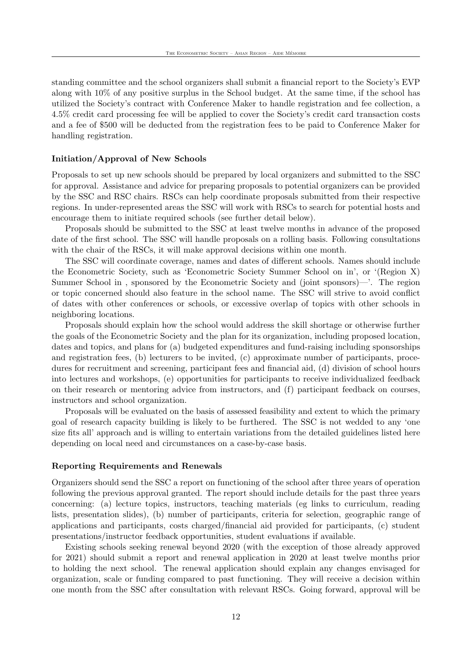standing committee and the school organizers shall submit a financial report to the Society's EVP along with 10% of any positive surplus in the School budget. At the same time, if the school has utilized the Society's contract with Conference Maker to handle registration and fee collection, a 4.5% credit card processing fee will be applied to cover the Society's credit card transaction costs and a fee of \$500 will be deducted from the registration fees to be paid to Conference Maker for handling registration.

#### Initiation/Approval of New Schools

Proposals to set up new schools should be prepared by local organizers and submitted to the SSC for approval. Assistance and advice for preparing proposals to potential organizers can be provided by the SSC and RSC chairs. RSCs can help coordinate proposals submitted from their respective regions. In under-represented areas the SSC will work with RSCs to search for potential hosts and encourage them to initiate required schools (see further detail below).

Proposals should be submitted to the SSC at least twelve months in advance of the proposed date of the first school. The SSC will handle proposals on a rolling basis. Following consultations with the chair of the RSCs, it will make approval decisions within one month.

The SSC will coordinate coverage, names and dates of different schools. Names should include the Econometric Society, such as 'Econometric Society Summer School on in', or '(Region X) Summer School in , sponsored by the Econometric Society and (joint sponsors)—'. The region or topic concerned should also feature in the school name. The SSC will strive to avoid conflict of dates with other conferences or schools, or excessive overlap of topics with other schools in neighboring locations.

Proposals should explain how the school would address the skill shortage or otherwise further the goals of the Econometric Society and the plan for its organization, including proposed location, dates and topics, and plans for (a) budgeted expenditures and fund-raising including sponsorships and registration fees, (b) lecturers to be invited, (c) approximate number of participants, procedures for recruitment and screening, participant fees and financial aid, (d) division of school hours into lectures and workshops, (e) opportunities for participants to receive individualized feedback on their research or mentoring advice from instructors, and (f) participant feedback on courses, instructors and school organization.

Proposals will be evaluated on the basis of assessed feasibility and extent to which the primary goal of research capacity building is likely to be furthered. The SSC is not wedded to any 'one size fits all' approach and is willing to entertain variations from the detailed guidelines listed here depending on local need and circumstances on a case-by-case basis.

#### Reporting Requirements and Renewals

Organizers should send the SSC a report on functioning of the school after three years of operation following the previous approval granted. The report should include details for the past three years concerning: (a) lecture topics, instructors, teaching materials (eg links to curriculum, reading lists, presentation slides), (b) number of participants, criteria for selection, geographic range of applications and participants, costs charged/financial aid provided for participants, (c) student presentations/instructor feedback opportunities, student evaluations if available.

Existing schools seeking renewal beyond 2020 (with the exception of those already approved for 2021) should submit a report and renewal application in 2020 at least twelve months prior to holding the next school. The renewal application should explain any changes envisaged for organization, scale or funding compared to past functioning. They will receive a decision within one month from the SSC after consultation with relevant RSCs. Going forward, approval will be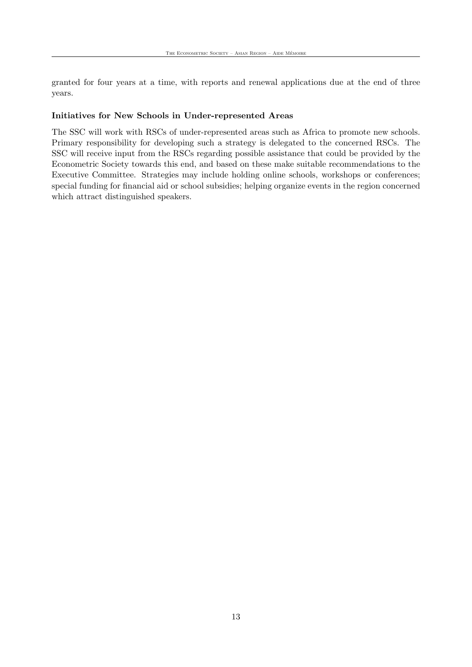granted for four years at a time, with reports and renewal applications due at the end of three years.

#### Initiatives for New Schools in Under-represented Areas

The SSC will work with RSCs of under-represented areas such as Africa to promote new schools. Primary responsibility for developing such a strategy is delegated to the concerned RSCs. The SSC will receive input from the RSCs regarding possible assistance that could be provided by the Econometric Society towards this end, and based on these make suitable recommendations to the Executive Committee. Strategies may include holding online schools, workshops or conferences; special funding for financial aid or school subsidies; helping organize events in the region concerned which attract distinguished speakers.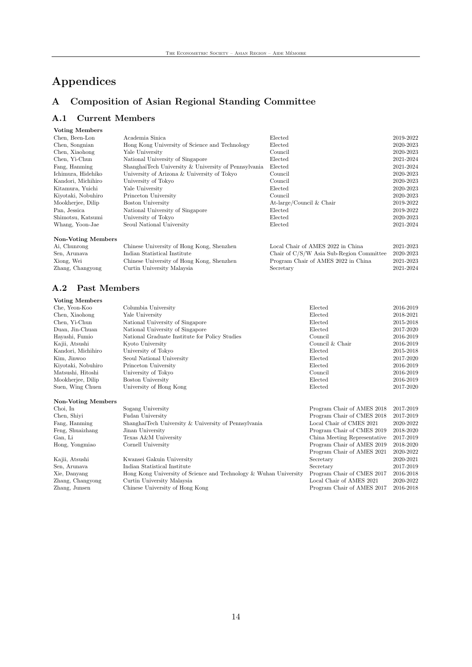## <span id="page-16-0"></span>Appendices

## <span id="page-16-1"></span>A Composition of Asian Regional Standing Committee

## <span id="page-16-2"></span>A.1 Current Members

| <b>Voting Members</b>     |                                                      |                            |           |
|---------------------------|------------------------------------------------------|----------------------------|-----------|
| Chen, Been-Lon            | Academia Sinica                                      | Elected                    | 2019-2022 |
| Chen, Songnian            | Hong Kong University of Science and Technology       | Elected                    | 2020-2023 |
| Chen, Xiaohong            | Yale University                                      | Council                    | 2020-2023 |
| Chen, Yi-Chun             | National University of Singapore                     | Elected                    | 2021-2024 |
| Fang, Hanming             | ShanghaiTech University & University of Pennsylvania | Elected                    | 2021-2024 |
| Ichimura, Hidehiko        | University of Arizona & University of Tokyo          | Council                    | 2020-2023 |
| Kandori, Michihiro        | University of Tokyo                                  | Council                    | 2020-2023 |
| Kitamura, Yuichi          | Yale University                                      | Elected                    | 2020-2023 |
| Kiyotaki, Nobuhiro        | Princeton University                                 | Council                    | 2020-2023 |
| Mookherjee, Dilip         | Boston University                                    | At-large/Council $&$ Chair | 2019-2022 |
| Pan, Jessica              | National University of Singapore                     | Elected                    | 2019-2022 |
| Shimotsu, Katsumi         | University of Tokyo                                  | Elected                    | 2020-2023 |
| Whang, Yoon-Jae           | Seoul National University                            | Elected                    | 2021-2024 |
| <b>Non-Voting Members</b> |                                                      |                            |           |

| Ai, Chunrong     | Chinese University of Hong Kong, Shenzhen | Local Chair of AMES 2022 in China        | 2021-2023 |
|------------------|-------------------------------------------|------------------------------------------|-----------|
| Sen, Arunava     | Indian Statistical Institute              | Chair of C/S/W Asia Sub-Region Committee | 2020-2023 |
| Xiong, Wei       | Chinese University of Hong Kong, Shenzhen | Program Chair of AMES 2022 in China      | 2021-2023 |
| Zhang, Changyong | Curtin University Malaysia                | Secretary                                | 2021-2024 |
|                  |                                           |                                          |           |

## <span id="page-16-3"></span>A.2 Past Members

| <b>Voting Members</b>     |                                                                   |                              |           |
|---------------------------|-------------------------------------------------------------------|------------------------------|-----------|
| Che, Yeon-Koo             | Columbia University                                               | Elected                      | 2016-2019 |
| Chen, Xiaohong            | Yale University                                                   | Elected                      | 2018-2021 |
| Chen, Yi-Chun             | National University of Singapore                                  | Elected                      | 2015-2018 |
| Duan, Jin-Chuan           | National University of Singapore                                  | Elected                      | 2017-2020 |
| Hayashi, Fumio            | National Graduate Institute for Policy Studies                    | Council                      | 2016-2019 |
| Kajii, Atsushi            | Kyoto University                                                  | Council & Chair              | 2016-2019 |
| Kandori, Michihiro        | University of Tokyo                                               | Elected                      | 2015-2018 |
| Kim, Jinwoo               | Seoul National University                                         | Elected                      | 2017-2020 |
| Kiyotaki, Nobuhiro        | Princeton University                                              | Elected                      | 2016-2019 |
| Matsushi, Hitoshi         | University of Tokyo                                               | Council                      | 2016-2019 |
| Mookherjee, Dilip         | <b>Boston University</b>                                          | Elected                      | 2016-2019 |
| Suen, Wing Chuen          | University of Hong Kong                                           | Elected                      | 2017-2020 |
| <b>Non-Voting Members</b> |                                                                   |                              |           |
| Choi, In                  | Sogang University                                                 | Program Chair of AMES 2018   | 2017-2019 |
| Chen, Shiyi               | Fudan University                                                  | Program Chair of CMES 2018   | 2017-2019 |
| Fang, Hanming             | ShanghaiTech University & University of Pennsylvania              | Local Chair of CMES 2021     | 2020-2022 |
| Feng, Shuaizhang          | Jinan University                                                  | Program Chair of CMES 2019   | 2018-2020 |
| Gan, Li                   | Texas A&M University                                              | China Meeting Representative | 2017-2019 |
| Hong, Yongmiao            | Cornell University                                                | Program Chair of AMES 2019   | 2018-2020 |
|                           |                                                                   | Program Chair of AMES 2021   | 2020-2022 |
| Kajii, Atsushi            | Kwansei Gakuin University                                         | Secretary                    | 2020-2021 |
| Sen, Arunava              | Indian Statistical Institute                                      | Secretary                    | 2017-2019 |
| Xie, Danyang              | Hong Kong University of Science and Technology & Wuhan University | Program Chair of CMES 2017   | 2016-2018 |
| Zhang, Changyong          | Curtin University Malaysia                                        | Local Chair of AMES 2021     | 2020-2022 |
| Zhang, Junsen             | Chinese University of Hong Kong                                   | Program Chair of AMES 2017   | 2016-2018 |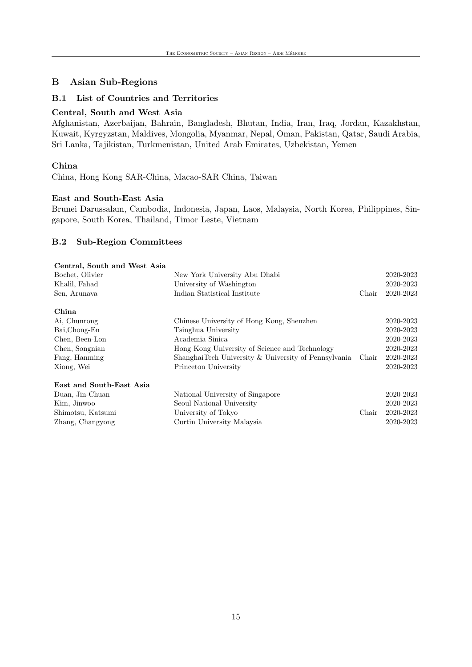## <span id="page-17-0"></span>B Asian Sub-Regions

#### <span id="page-17-1"></span>B.1 List of Countries and Territories

## Central, South and West Asia

Afghanistan, Azerbaijan, Bahrain, Bangladesh, Bhutan, India, Iran, Iraq, Jordan, Kazakhstan, Kuwait, Kyrgyzstan, Maldives, Mongolia, Myanmar, Nepal, Oman, Pakistan, Qatar, Saudi Arabia, Sri Lanka, Tajikistan, Turkmenistan, United Arab Emirates, Uzbekistan, Yemen

#### China

China, Hong Kong SAR-China, Macao-SAR China, Taiwan

#### East and South-East Asia

Brunei Darussalam, Cambodia, Indonesia, Japan, Laos, Malaysia, North Korea, Philippines, Singapore, South Korea, Thailand, Timor Leste, Vietnam

#### <span id="page-17-2"></span>B.2 Sub-Region Committees

| Central, South and West Asia |                                                      |       |           |
|------------------------------|------------------------------------------------------|-------|-----------|
| Bochet, Olivier              | New York University Abu Dhabi                        |       | 2020-2023 |
| Khalil, Fahad                | University of Washington                             |       | 2020-2023 |
| Sen, Arunava                 | Indian Statistical Institute                         | Chair | 2020-2023 |
| China                        |                                                      |       |           |
| Ai, Chunrong                 | Chinese University of Hong Kong, Shenzhen            |       | 2020-2023 |
| Bai, Chong-En                | Tsinghua University                                  |       | 2020-2023 |
| Chen, Been-Lon               | Academia Sinica                                      |       | 2020-2023 |
| Chen, Songnian               | Hong Kong University of Science and Technology       |       | 2020-2023 |
| Fang, Hanming                | ShanghaiTech University & University of Pennsylvania | Chair | 2020-2023 |
| Xiong, Wei                   | Princeton University                                 |       | 2020-2023 |
| East and South-East Asia     |                                                      |       |           |
| Duan, Jin-Chuan              | National University of Singapore                     |       | 2020-2023 |
| Kim, Jinwoo                  | Seoul National University                            |       | 2020-2023 |
| Shimotsu, Katsumi            | University of Tokyo                                  | Chair | 2020-2023 |
| Zhang, Changyong             | Curtin University Malaysia                           |       | 2020-2023 |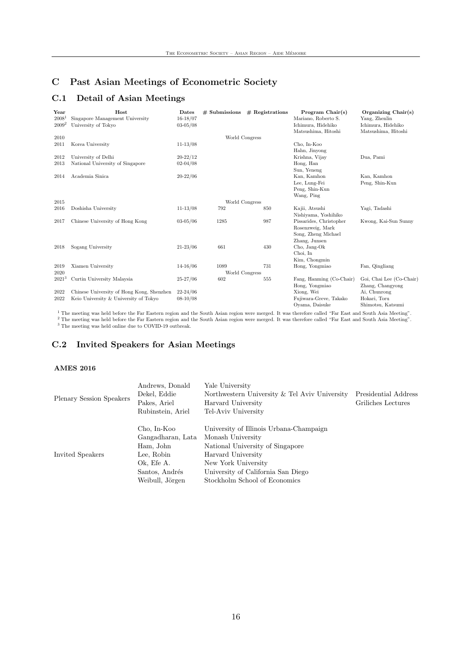## <span id="page-18-0"></span>C Past Asian Meetings of Econometric Society

## <span id="page-18-1"></span>C.1 Detail of Asian Meetings

| Year<br>$2008^1$<br>$2009^2$ | Host<br>Singapore Management University<br>University of Tokyo | Dates<br>$16 - 18/07$<br>$03 - 05/08$ | $#$ Submissions        | $#$ Registrations | Program $Chair(s)$<br>Mariano, Roberto S.<br>Ichimura, Hidehiko<br>Matsushima, Hitoshi | Organizing $Chair(s)$<br>Yang, Zhenlin<br>Ichimura, Hidehiko<br>Matsushima, Hitoshi |
|------------------------------|----------------------------------------------------------------|---------------------------------------|------------------------|-------------------|----------------------------------------------------------------------------------------|-------------------------------------------------------------------------------------|
| 2010                         |                                                                |                                       | World Congress         |                   |                                                                                        |                                                                                     |
| 2011                         | Korea University                                               | $11 - 13/08$                          |                        |                   | Cho, In-Koo<br>Hahn, Jinyong                                                           |                                                                                     |
| 2012                         | University of Delhi                                            | $20 - 22/12$                          |                        |                   | Krishna, Vijav                                                                         | Dua, Pami                                                                           |
| 2013                         | National University of Singapore                               | $02 - 04/08$                          |                        |                   | Hong, Han<br>Sun, Yeneng                                                               |                                                                                     |
| 2014                         | Academia Sinica                                                | $20 - 22/06$                          |                        |                   | Kan, Kamhon<br>Lee, Lung-Fei<br>Peng, Shin-Kun<br>Wang, Ping                           | Kan, Kamhon<br>Peng, Shin-Kun                                                       |
| 2015                         |                                                                |                                       | World Congress         |                   |                                                                                        |                                                                                     |
| 2016                         | Doshisha University                                            | $11 - 13/08$                          | 792                    | 850               | Kajii, Atsushi<br>Nishiyama, Yoshihiko                                                 | Yagi, Tadashi                                                                       |
| 2017                         | Chinese University of Hong Kong                                | $03 - 05/06$                          | 1285                   | 987               | Pissarides, Christopher<br>Rosenzweig, Mark<br>Song, Zheng Michael<br>Zhang, Junsen    | Kwong, Kai-Sun Sunny                                                                |
| 2018                         | Sogang University                                              | $21 - 23/06$                          | 661                    | 430               | Cho, Jang-Ok<br>Choi, In<br>Kim, Chongmin                                              |                                                                                     |
| 2019<br>2020                 | Xiamen University                                              | $14 - 16/06$                          | 1089<br>World Congress | 731               | Hong, Yongmiao                                                                         | Fan, Qingliang                                                                      |
| $2021^3$                     | Curtin University Malaysia                                     | $25 - 27/06$                          | 602                    | 555               | Fang, Hanming (Co-Chair)<br>Hong, Yongmiao                                             | Goi, Chai Lee (Co-Chair)<br>Zhang, Changyong                                        |
| 2022                         | Chinese University of Hong Kong, Shenzhen                      | $22 - 24/06$                          |                        |                   | Xiong, Wei                                                                             | Ai, Chunrong                                                                        |
| 2022                         | Keio University & University of Tokyo                          | $08 - 10/08$                          |                        |                   | Fujiwara-Greve, Takako<br>Oyama, Daisuke                                               | Hokari, Toru<br>Shimotsu, Katsumi                                                   |

 $1$  The meeting was held before the Far Eastern region and the South Asian region were merged. It was therefore called "Far East and South Asia Meeting". <sup>2</sup> The meeting was held before the Far Eastern region and the South Asian region were merged. It was therefore called "Far East and South Asia Meeting". <sup>3</sup> The meeting was held online due to COVID-19 outbreak.

#### <span id="page-18-2"></span>C.2 Invited Speakers for Asian Meetings

#### AMES 2016

|                          | Andrews, Donald   | Yale University                               |                      |
|--------------------------|-------------------|-----------------------------------------------|----------------------|
| Plenary Session Speakers | Dekel, Eddie      | Northwestern University & Tel Aviv University | Presidential Address |
|                          | Pakes, Ariel      | Harvard University                            | Griliches Lectures   |
|                          | Rubinstein, Ariel | Tel-Aviv University                           |                      |
|                          | Cho, In-Koo       | University of Illinois Urbana-Champaign       |                      |
|                          | Gangadharan, Lata | Monash University                             |                      |
|                          | Ham, John         | National University of Singapore              |                      |
| Invited Speakers         | Lee, Robin        | Harvard University                            |                      |
|                          | Ok, Efe A.        | New York University                           |                      |
|                          | Santos, Andrés    | University of California San Diego            |                      |
|                          | Weibull, Jörgen   | Stockholm School of Economics                 |                      |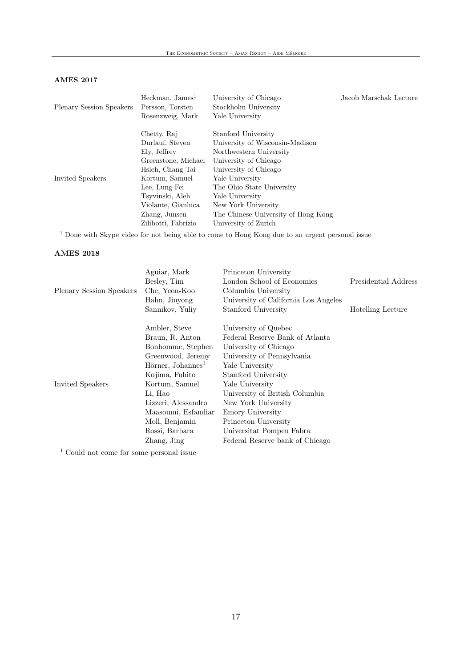## AMES 2017

| <b>Plenary Session Speakers</b> | Heckman, James <sup>1</sup><br>Persson, Torsten<br>Rosenzweig, Mark | University of Chicago<br>Stockholm University<br>Yale University | Jacob Marschak Lecture |
|---------------------------------|---------------------------------------------------------------------|------------------------------------------------------------------|------------------------|
|                                 | Chetty, Raj                                                         | Stanford University                                              |                        |
|                                 | Durlauf, Steven                                                     | University of Wisconsin-Madison                                  |                        |
|                                 | Ely, Jeffrey                                                        | Northwestern University                                          |                        |
|                                 | Greenstone, Michael                                                 | University of Chicago                                            |                        |
|                                 | Hsieh, Chang-Tai                                                    | University of Chicago                                            |                        |
| Invited Speakers                | Kortum, Samuel                                                      | Yale University                                                  |                        |
|                                 | Lee, Lung-Fei                                                       | The Ohio State University                                        |                        |
|                                 | Tsyvinski, Aleh                                                     | Yale University                                                  |                        |
|                                 | Violante, Gianluca                                                  | New York University                                              |                        |
|                                 | Zhang, Junsen                                                       | The Chinese University of Hong Kong                              |                        |
|                                 | Zilibotti, Fabrizio                                                 | University of Zurich                                             |                        |
|                                 |                                                                     |                                                                  |                        |

 $^{\rm 1}$  Done with Skype video for not being able to come to Hong Kong due to an urgent personal issue

#### AMES 2018

|                                 | Aguiar, Mark                            | Princeton University                 |                          |
|---------------------------------|-----------------------------------------|--------------------------------------|--------------------------|
|                                 | Besley, Tim                             | London School of Economics           | Presidential Address     |
| <b>Plenary Session Speakers</b> | Che, Yeon-Koo                           | Columbia University                  |                          |
|                                 | Hahn, Jinyong                           | University of California Los Angeles |                          |
|                                 | Sannikov, Yuliy                         | Stanford University                  | <b>Hotelling Lecture</b> |
|                                 | Ambler, Steve                           | University of Quebec                 |                          |
|                                 | Braun, R. Anton                         | Federal Reserve Bank of Atlanta      |                          |
|                                 | Bonhomme, Stephen                       | University of Chicago                |                          |
|                                 | Greenwood, Jeremy                       | University of Pennsylvania           |                          |
|                                 | $H\ddot{o}$ rner, Johannes <sup>1</sup> | Yale University                      |                          |
|                                 | Kojima, Fuhito                          | Stanford University                  |                          |
| Invited Speakers                | Kortum, Samuel                          | Yale University                      |                          |
|                                 | Li, Hao                                 | University of British Columbia       |                          |
|                                 | Lizzeri, Alessandro                     | New York University                  |                          |
|                                 | Maasoumi, Esfandiar                     | Emory University                     |                          |
|                                 | Moll, Benjamin                          | Princeton University                 |                          |
|                                 | Rossi, Barbara                          | Universitat Pompeu Fabra             |                          |
|                                 | Zhang, Jing                             | Federal Reserve bank of Chicago      |                          |
| $1 \sim 1$                      |                                         |                                      |                          |

<sup>1</sup> Could not come for some personal issue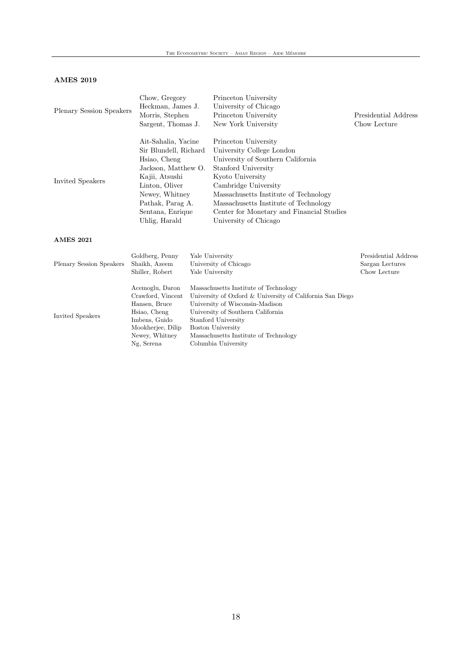#### AMES 2019

| Plenary Session Speakers                                                                                                                                                                                               | Chow, Gregory<br>Heckman, James J.<br>Morris, Stephen<br>Sargent, Thomas J.            |                                                                                                                                                                                                                                                                                                                   | Princeton University<br>University of Chicago<br>Princeton University<br>New York University                                                                                                      | Presidential Address<br>Chow Lecture |
|------------------------------------------------------------------------------------------------------------------------------------------------------------------------------------------------------------------------|----------------------------------------------------------------------------------------|-------------------------------------------------------------------------------------------------------------------------------------------------------------------------------------------------------------------------------------------------------------------------------------------------------------------|---------------------------------------------------------------------------------------------------------------------------------------------------------------------------------------------------|--------------------------------------|
| Ait-Sahalia, Yacine<br>Sir Blundell, Richard<br>Hsiao, Cheng<br>Jackson, Matthew O.<br>Kajii, Atsushi<br>Invited Speakers<br>Linton, Oliver<br>Newey, Whitney<br>Pathak, Parag A.<br>Sentana, Enrique<br>Uhlig, Harald |                                                                                        | Princeton University<br>University College London<br>University of Southern California<br>Stanford University<br>Kyoto University<br>Cambridge University<br>Massachusetts Institute of Technology<br>Massachusetts Institute of Technology<br>Center for Monetary and Financial Studies<br>University of Chicago |                                                                                                                                                                                                   |                                      |
| <b>AMES 2021</b>                                                                                                                                                                                                       |                                                                                        |                                                                                                                                                                                                                                                                                                                   |                                                                                                                                                                                                   |                                      |
| Goldberg, Penny<br>Shaikh, Azeem<br><b>Plenary Session Speakers</b><br>Shiller, Robert                                                                                                                                 |                                                                                        | Yale University<br>University of Chicago<br>Yale University                                                                                                                                                                                                                                                       | Presidential Address<br>Sargan Lectures<br>Chow Lecture                                                                                                                                           |                                      |
| Invited Speakers                                                                                                                                                                                                       | Acemoglu, Daron<br>Crawford, Vincent<br>Hansen, Bruce<br>Hsiao, Cheng<br>Imbens, Guido |                                                                                                                                                                                                                                                                                                                   | Massachusetts Institute of Technology<br>University of Oxford & University of California San Diego<br>University of Wisconsin-Madison<br>University of Southern California<br>Stanford University |                                      |

 $Massachusetts$  Institute of Technology  $% \left\vert \cdot \right\rangle$ 

Columbia University

 $\begin{tabular}{ll} Moon{R}{\textbf{Web}} & Boston University \\ Newey, Whitney & Massachusetts Inst \\ Ng, Serena & Columbia University \\ \end{tabular}$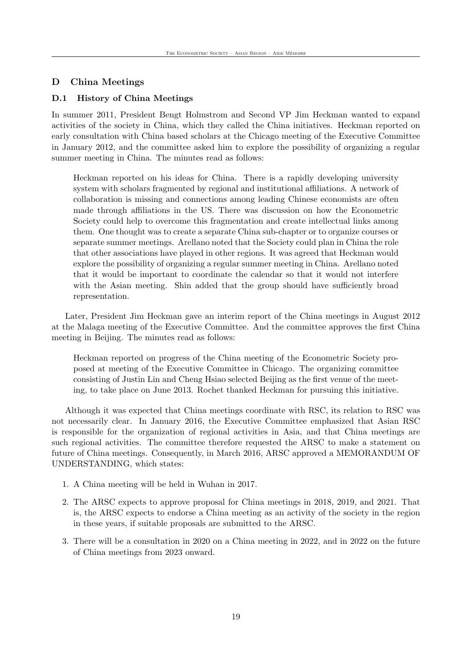## <span id="page-21-0"></span>D China Meetings

#### <span id="page-21-1"></span>D.1 History of China Meetings

In summer 2011, President Bengt Holmstrom and Second VP Jim Heckman wanted to expand activities of the society in China, which they called the China initiatives. Heckman reported on early consultation with China based scholars at the Chicago meeting of the Executive Committee in January 2012, and the committee asked him to explore the possibility of organizing a regular summer meeting in China. The minutes read as follows:

Heckman reported on his ideas for China. There is a rapidly developing university system with scholars fragmented by regional and institutional affiliations. A network of collaboration is missing and connections among leading Chinese economists are often made through affiliations in the US. There was discussion on how the Econometric Society could help to overcome this fragmentation and create intellectual links among them. One thought was to create a separate China sub-chapter or to organize courses or separate summer meetings. Arellano noted that the Society could plan in China the role that other associations have played in other regions. It was agreed that Heckman would explore the possibility of organizing a regular summer meeting in China. Arellano noted that it would be important to coordinate the calendar so that it would not interfere with the Asian meeting. Shin added that the group should have sufficiently broad representation.

Later, President Jim Heckman gave an interim report of the China meetings in August 2012 at the Malaga meeting of the Executive Committee. And the committee approves the first China meeting in Beijing. The minutes read as follows:

Heckman reported on progress of the China meeting of the Econometric Society proposed at meeting of the Executive Committee in Chicago. The organizing committee consisting of Justin Lin and Cheng Hsiao selected Beijing as the first venue of the meeting, to take place on June 2013. Rochet thanked Heckman for pursuing this initiative.

Although it was expected that China meetings coordinate with RSC, its relation to RSC was not necessarily clear. In January 2016, the Executive Committee emphasized that Asian RSC is responsible for the organization of regional activities in Asia, and that China meetings are such regional activities. The committee therefore requested the ARSC to make a statement on future of China meetings. Consequently, in March 2016, ARSC approved a MEMORANDUM OF UNDERSTANDING, which states:

- 1. A China meeting will be held in Wuhan in 2017.
- 2. The ARSC expects to approve proposal for China meetings in 2018, 2019, and 2021. That is, the ARSC expects to endorse a China meeting as an activity of the society in the region in these years, if suitable proposals are submitted to the ARSC.
- 3. There will be a consultation in 2020 on a China meeting in 2022, and in 2022 on the future of China meetings from 2023 onward.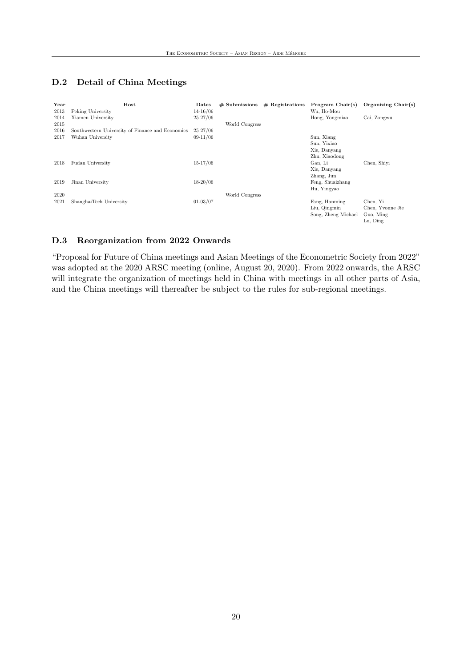## <span id="page-22-0"></span>D.2 Detail of China Meetings

| Host<br>Peking University | Dates<br>$14 - 16/06$                            | $#$ Submissions |                | Wu, Ho-Mou        | Organizing Chair(s)                                                     |
|---------------------------|--------------------------------------------------|-----------------|----------------|-------------------|-------------------------------------------------------------------------|
| Xiamen University         | $25 - 27/06$                                     |                 |                | Hong, Yongmiao    | Cai, Zongwu                                                             |
|                           |                                                  |                 |                |                   |                                                                         |
|                           |                                                  |                 |                |                   |                                                                         |
| Wuhan University          | $09-11/06$                                       |                 |                | Sun, Xiang        |                                                                         |
|                           |                                                  |                 |                | Sun, Yixiao       |                                                                         |
|                           |                                                  |                 |                | Xie, Danyang      |                                                                         |
|                           |                                                  |                 |                | Zhu, Xiaodong     |                                                                         |
| Fudan University          | $15 - 17/06$                                     |                 |                | Gan, Li           | Chen, Shiyi                                                             |
|                           |                                                  |                 |                | Xie, Danyang      |                                                                         |
|                           |                                                  |                 |                | Zhang, Jun        |                                                                         |
| Jinan University          | $18 - 20/06$                                     |                 |                | Feng, Shuaizhang  |                                                                         |
|                           |                                                  |                 |                |                   |                                                                         |
|                           |                                                  | World Congress  |                |                   |                                                                         |
| ShanghaiTech University   | $01 - 03/07$                                     |                 |                |                   | Chen, Yi                                                                |
|                           |                                                  |                 |                | Liu, Qingmin      | Chen, Yvonne Jie                                                        |
|                           |                                                  |                 |                |                   | Guo, Ming                                                               |
|                           |                                                  |                 |                |                   | Lu, Ding                                                                |
|                           | Southwestern University of Finance and Economics | $25 - 27/06$    | World Congress | $#$ Registrations | Program Chair(s)<br>Hu, Yingyao<br>Fang, Hanming<br>Song, Zheng Michael |

#### <span id="page-22-1"></span>D.3 Reorganization from 2022 Onwards

"Proposal for Future of China meetings and Asian Meetings of the Econometric Society from 2022" was adopted at the 2020 ARSC meeting (online, August 20, 2020). From 2022 onwards, the ARSC will integrate the organization of meetings held in China with meetings in all other parts of Asia, and the China meetings will thereafter be subject to the rules for sub-regional meetings.